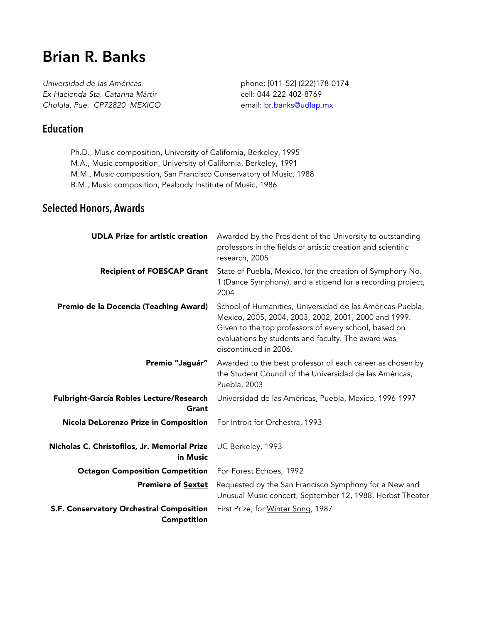# **Brian R. Banks**

*Universidad de las Américas Ex-Hacienda Sta. Catarina Mártir Cholula, Pue. CP72820 MEXICO* phone: [011-52] (222)178-0174 cell: 044-222-402-8769 email: br.banks@udlap.mx

# **Education**

- Ph.D., Music composition, University of California, Berkeley, 1995
- M.A., Music composition, University of California, Berkeley, 1991
- M.M., Music composition, San Francisco Conservatory of Music, 1988
- B.M., Music composition, Peabody Institute of Music, 1986

#### **Selected Honors, Awards**

| <b>UDLA Prize for artistic creation</b>                  | Awarded by the President of the University to outstanding<br>professors in the fields of artistic creation and scientific<br>research, 2005                                                                                                               |
|----------------------------------------------------------|-----------------------------------------------------------------------------------------------------------------------------------------------------------------------------------------------------------------------------------------------------------|
| <b>Recipient of FOESCAP Grant</b>                        | State of Puebla, Mexico, for the creation of Symphony No.<br>1 (Dance Symphony), and a stipend for a recording project,<br>2004                                                                                                                           |
| Premio de la Docencia (Teaching Award)                   | School of Humanities, Universidad de las Américas-Puebla,<br>Mexico, 2005, 2004, 2003, 2002, 2001, 2000 and 1999.<br>Given to the top professors of every school, based on<br>evaluations by students and faculty. The award was<br>discontinued in 2006. |
| Premio "Jaguár"                                          | Awarded to the best professor of each career as chosen by<br>the Student Council of the Universidad de las Américas,<br>Puebla, 2003                                                                                                                      |
| Fulbright-García Robles Lecture/Research<br>Grant        | Universidad de las Américas, Puebla, Mexico, 1996-1997                                                                                                                                                                                                    |
| Nicola DeLorenzo Prize in Composition                    | For Introit for Orchestra, 1993                                                                                                                                                                                                                           |
| Nicholas C. Christofilos, Jr. Memorial Prize<br>in Music | UC Berkeley, 1993                                                                                                                                                                                                                                         |
| <b>Octagon Composition Competition</b>                   | For Forest Echoes, 1992                                                                                                                                                                                                                                   |
| <b>Premiere of Sextet</b>                                | Requested by the San Francisco Symphony for a New and<br>Unusual Music concert, September 12, 1988, Herbst Theater                                                                                                                                        |
| S.F. Conservatory Orchestral Composition                 | First Prize, for Winter Song, 1987                                                                                                                                                                                                                        |
| <b>Competition</b>                                       |                                                                                                                                                                                                                                                           |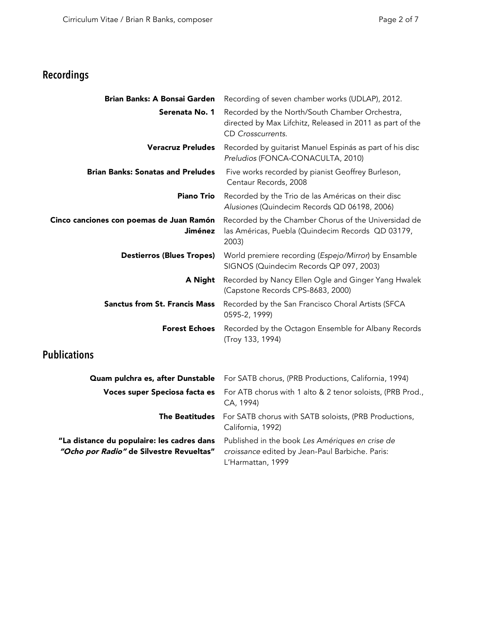# **Recordings**

| Brian Banks: A Bonsai Garden                                                           | Recording of seven chamber works (UDLAP), 2012.                                                                                  |
|----------------------------------------------------------------------------------------|----------------------------------------------------------------------------------------------------------------------------------|
| Serenata No. 1                                                                         | Recorded by the North/South Chamber Orchestra,<br>directed by Max Lifchitz, Released in 2011 as part of the<br>CD Crosscurrents. |
| <b>Veracruz Preludes</b>                                                               | Recorded by guitarist Manuel Espinás as part of his disc<br>Preludios (FONCA-CONACULTA, 2010)                                    |
| <b>Brian Banks: Sonatas and Preludes</b>                                               | Five works recorded by pianist Geoffrey Burleson,<br>Centaur Records, 2008                                                       |
| <b>Piano Trio</b>                                                                      | Recorded by the Trio de las Américas on their disc<br>Alusiones (Quindecim Records QD 06198, 2006)                               |
| Cinco canciones con poemas de Juan Ramón<br>Jiménez                                    | Recorded by the Chamber Chorus of the Universidad de<br>las Américas, Puebla (Quindecim Records QD 03179,<br>2003)               |
| <b>Destierros (Blues Tropes)</b>                                                       | World premiere recording (Espejo/Mirror) by Ensamble<br>SIGNOS (Quindecim Records QP 097, 2003)                                  |
| A Night                                                                                | Recorded by Nancy Ellen Ogle and Ginger Yang Hwalek<br>(Capstone Records CPS-8683, 2000)                                         |
| <b>Sanctus from St. Francis Mass</b>                                                   | Recorded by the San Francisco Choral Artists (SFCA<br>0595-2, 1999)                                                              |
| <b>Forest Echoes</b>                                                                   | Recorded by the Octagon Ensemble for Albany Records<br>(Troy 133, 1994)                                                          |
| <b>Publications</b>                                                                    |                                                                                                                                  |
| Quam pulchra es, after Dunstable                                                       | For SATB chorus, (PRB Productions, California, 1994)                                                                             |
| Voces super Speciosa facta es                                                          | For ATB chorus with 1 alto & 2 tenor soloists, (PRB Prod.,<br>CA, 1994)                                                          |
| <b>The Beatitudes</b>                                                                  | For SATB chorus with SATB soloists, (PRB Productions,<br>California, 1992)                                                       |
| "La distance du populaire: les cadres dans<br>"Ocho por Radio" de Silvestre Revueltas" | Published in the book Les Amériques en crise de<br>croissance edited by Jean-Paul Barbiche. Paris:<br>L'Harmattan, 1999          |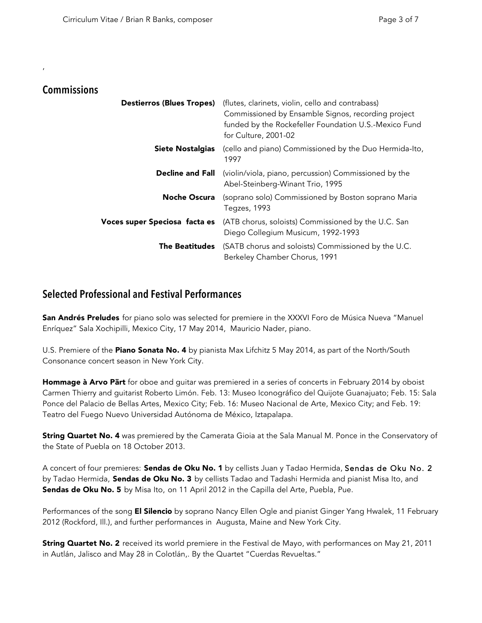#### **Commissions**

,

| <b>Destierros (Blues Tropes)</b> | (flutes, clarinets, violin, cello and contrabass)<br>Commissioned by Ensamble Signos, recording project<br>funded by the Rockefeller Foundation U.S.-Mexico Fund<br>for Culture, 2001-02 |
|----------------------------------|------------------------------------------------------------------------------------------------------------------------------------------------------------------------------------------|
| <b>Siete Nostalgias</b>          | (cello and piano) Commissioned by the Duo Hermida-Ito,<br>1997                                                                                                                           |
| <b>Decline and Fall</b>          | (violin/viola, piano, percussion) Commissioned by the<br>Abel-Steinberg-Winant Trio, 1995                                                                                                |
| <b>Noche Oscura</b>              | (soprano solo) Commissioned by Boston soprano Maria<br>Tegzes, 1993                                                                                                                      |
| Voces super Speciosa facta es    | (ATB chorus, soloists) Commissioned by the U.C. San<br>Diego Collegium Musicum, 1992-1993                                                                                                |
| The Beatitudes                   | (SATB chorus and soloists) Commissioned by the U.C.<br>Berkeley Chamber Chorus, 1991                                                                                                     |

#### **Selected Professional and Festival Performances**

San Andrés Preludes for piano solo was selected for premiere in the XXXVI Foro de Música Nueva "Manuel Enríquez" Sala Xochipilli, Mexico City, 17 May 2014, Mauricio Nader, piano.

U.S. Premiere of the **Piano Sonata No. 4** by pianista Max Lifchitz 5 May 2014, as part of the North/South Consonance concert season in New York City.

Hommage à Arvo Pärt for oboe and quitar was premiered in a series of concerts in February 2014 by oboist Carmen Thierry and guitarist Roberto Limón. Feb. 13: Museo Iconográfico del Quijote Guanajuato; Feb. 15: Sala Ponce del Palacio de Bellas Artes, Mexico City; Feb. 16: Museo Nacional de Arte, Mexico City; and Feb. 19: Teatro del Fuego Nuevo Universidad Autónoma de México, Iztapalapa.

**String Quartet No. 4** was premiered by the Camerata Gioia at the Sala Manual M. Ponce in the Conservatory of the State of Puebla on 18 October 2013.

A concert of four premieres: Sendas de Oku No. 1 by cellists Juan y Tadao Hermida, Sendas de Oku No. 2 by Tadao Hermida, Sendas de Oku No. 3 by cellists Tadao and Tadashi Hermida and pianist Misa Ito, and Sendas de Oku No. 5 by Misa Ito, on 11 April 2012 in the Capilla del Arte, Puebla, Pue.

Performances of the song **El Silencio** by soprano Nancy Ellen Ogle and pianist Ginger Yang Hwalek, 11 February 2012 (Rockford, Ill.), and further performances in Augusta, Maine and New York City.

String Quartet No. 2 received its world premiere in the Festival de Mayo, with performances on May 21, 2011 in Autlán, Jalisco and May 28 in Colotlán,. By the Quartet "Cuerdas Revueltas."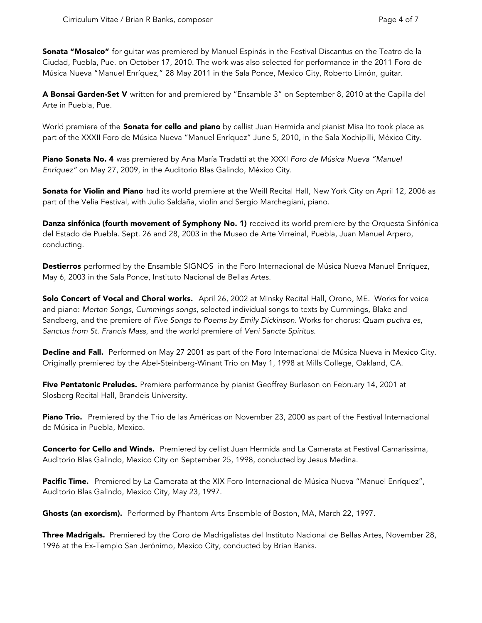Sonata "Mosaico" for guitar was premiered by Manuel Espinás in the Festival Discantus en the Teatro de la Ciudad, Puebla, Pue. on October 17, 2010. The work was also selected for performance in the 2011 Foro de Música Nueva "Manuel Enríquez," 28 May 2011 in the Sala Ponce, Mexico City, Roberto Limón, guitar.

A Bonsai Garden-Set V written for and premiered by "Ensamble 3" on September 8, 2010 at the Capilla del Arte in Puebla, Pue.

World premiere of the **Sonata for cello and piano** by cellist Juan Hermida and pianist Misa Ito took place as part of the XXXII Foro de Música Nueva "Manuel Enríquez" June 5, 2010, in the Sala Xochipilli, México City.

Piano Sonata No. 4 was premiered by Ana María Tradatti at the XXXI *Foro de Música Nueva "Manuel Enríquez"* on May 27, 2009, in the Auditorio Blas Galindo, México City.

**Sonata for Violin and Piano** had its world premiere at the Weill Recital Hall, New York City on April 12, 2006 as part of the Velia Festival, with Julio Saldaña, violin and Sergio Marchegiani, piano.

Danza sinfónica (fourth movement of Symphony No. 1) received its world premiere by the Orquesta Sinfónica del Estado de Puebla. Sept. 26 and 28, 2003 in the Museo de Arte Virreinal, Puebla, Juan Manuel Arpero, conducting.

Destierros performed by the Ensamble SIGNOS in the Foro Internacional de Música Nueva Manuel Enríquez, May 6, 2003 in the Sala Ponce, Instituto Nacional de Bellas Artes.

Solo Concert of Vocal and Choral works. April 26, 2002 at Minsky Recital Hall, Orono, ME. Works for voice and piano: *Merton Songs*, *Cummings songs*, selected individual songs to texts by Cummings, Blake and Sandberg, and the premiere of *Five Songs to Poems by Emily Dickinson*. Works for chorus: *Quam puchra es*, *Sanctus from St. Francis Mass*, and the world premiere of *Veni Sancte Spiritus*.

Decline and Fall. Performed on May 27 2001 as part of the Foro Internacional de Música Nueva in Mexico City. Originally premiered by the Abel-Steinberg-Winant Trio on May 1, 1998 at Mills College, Oakland, CA.

Five Pentatonic Preludes. Premiere performance by pianist Geoffrey Burleson on February 14, 2001 at Slosberg Recital Hall, Brandeis University.

Piano Trio. Premiered by the Trio de las Américas on November 23, 2000 as part of the Festival Internacional de Música in Puebla, Mexico.

Concerto for Cello and Winds. Premiered by cellist Juan Hermida and La Camerata at Festival Camarissima, Auditorio Blas Galindo, Mexico City on September 25, 1998, conducted by Jesus Medina.

Pacific Time. Premiered by La Camerata at the XIX Foro Internacional de Música Nueva "Manuel Enríquez", Auditorio Blas Galindo, Mexico City, May 23, 1997.

Ghosts (an exorcism). Performed by Phantom Arts Ensemble of Boston, MA, March 22, 1997.

Three Madrigals. Premiered by the Coro de Madrigalistas del Instituto Nacional de Bellas Artes, November 28, 1996 at the Ex-Templo San Jerónimo, Mexico City, conducted by Brian Banks.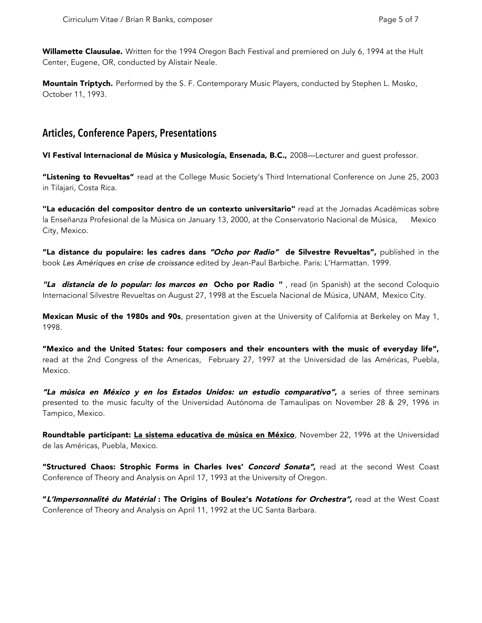Willamette Clausulae. Written for the 1994 Oregon Bach Festival and premiered on July 6, 1994 at the Hult Center, Eugene, OR, conducted by Alistair Neale.

Mountain Triptych. Performed by the S. F. Contemporary Music Players, conducted by Stephen L. Mosko, October 11, 1993.

#### **Articles, Conference Papers, Presentations**

VI Festival Internacional de Música y Musicología, Ensenada, B.C., 2008—Lecturer and guest professor.

"Listening to Revueltas" read at the College Music Society's Third International Conference on June 25, 2003 in Tilajari, Costa Rica.

"La educación del compositor dentro de un contexto universitario" read at the Jornadas Académicas sobre la Enseñanza Profesional de la Música on January 13, 2000, at the Conservatorio Nacional de Música, Mexico City, Mexico.

"La distance du populaire: les cadres dans "Ocho por Radio" de Silvestre Revueltas", published in the book *Les Amériques en crise de croissance* edited by Jean-Paul Barbiche. Paris: L'Harmattan. 1999.

"La distancia de lo popular: los marcos en Ocho por Radio ", read (in Spanish) at the second Coloquio Internacional Silvestre Revueltas on August 27, 1998 at the Escuela Nacional de Música, UNAM, Mexico City.

Mexican Music of the 1980s and 90s, presentation given at the University of California at Berkeley on May 1, 1998.

"Mexico and the United States: four composers and their encounters with the music of everyday life", read at the 2nd Congress of the Americas, February 27, 1997 at the Universidad de las Américas, Puebla, Mexico.

"La música en México y en los Estados Unidos: un estudio comparativo", a series of three seminars presented to the music faculty of the Universidad Autónoma de Tamaulipas on November 28 & 29, 1996 in Tampico, Mexico.

Roundtable participant: La sistema educativa de música en México, November 22, 1996 at the Universidad de las Américas, Puebla, Mexico.

"Structured Chaos: Strophic Forms in Charles Ives' Concord Sonata", read at the second West Coast Conference of Theory and Analysis on April 17, 1993 at the University of Oregon.

"L'Impersonnalité du Matérial : The Origins of Boulez's Notations for Orchestra", read at the West Coast Conference of Theory and Analysis on April 11, 1992 at the UC Santa Barbara.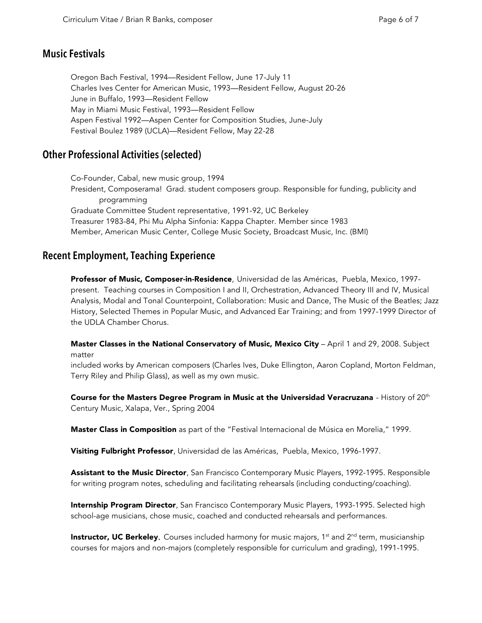#### **Music Festivals**

Oregon Bach Festival, 1994—Resident Fellow, June 17-July 11 Charles Ives Center for American Music, 1993—Resident Fellow, August 20-26 June in Buffalo, 1993—Resident Fellow May in Miami Music Festival, 1993—Resident Fellow Aspen Festival 1992—Aspen Center for Composition Studies, June-July Festival Boulez 1989 (UCLA)—Resident Fellow, May 22-28

## **Other Professional Activities (selected)**

Co-Founder, Cabal, new music group, 1994 President, Composerama! Grad. student composers group. Responsible for funding, publicity and programming Graduate Committee Student representative, 1991-92, UC Berkeley Treasurer 1983-84, Phi Mu Alpha Sinfonia: Kappa Chapter. Member since 1983 Member, American Music Center, College Music Society, Broadcast Music, Inc. (BMI)

### **Recent Employment, Teaching Experience**

Professor of Music, Composer-in-Residence, Universidad de las Américas, Puebla, Mexico, 1997present. Teaching courses in Composition I and II, Orchestration, Advanced Theory III and IV, Musical Analysis, Modal and Tonal Counterpoint, Collaboration: Music and Dance, The Music of the Beatles; Jazz History, Selected Themes in Popular Music, and Advanced Ear Training; and from 1997-1999 Director of the UDLA Chamber Chorus.

Master Classes in the National Conservatory of Music, Mexico City - April 1 and 29, 2008. Subject matter

included works by American composers (Charles Ives, Duke Ellington, Aaron Copland, Morton Feldman, Terry Riley and Philip Glass), as well as my own music.

Course for the Masters Degree Program in Music at the Universidad Veracruzana - History of  $20<sup>th</sup>$ Century Music, Xalapa, Ver., Spring 2004

**Master Class in Composition** as part of the "Festival Internacional de Música en Morelia," 1999.

Visiting Fulbright Professor, Universidad de las Américas, Puebla, Mexico, 1996-1997.

Assistant to the Music Director, San Francisco Contemporary Music Players, 1992-1995. Responsible for writing program notes, scheduling and facilitating rehearsals (including conducting/coaching).

Internship Program Director, San Francisco Contemporary Music Players, 1993-1995. Selected high school-age musicians, chose music, coached and conducted rehearsals and performances.

**Instructor, UC Berkeley.** Courses included harmony for music majors, 1<sup>st</sup> and  $2^{nd}$  term, musicianship courses for majors and non-majors (completely responsible for curriculum and grading), 1991-1995.